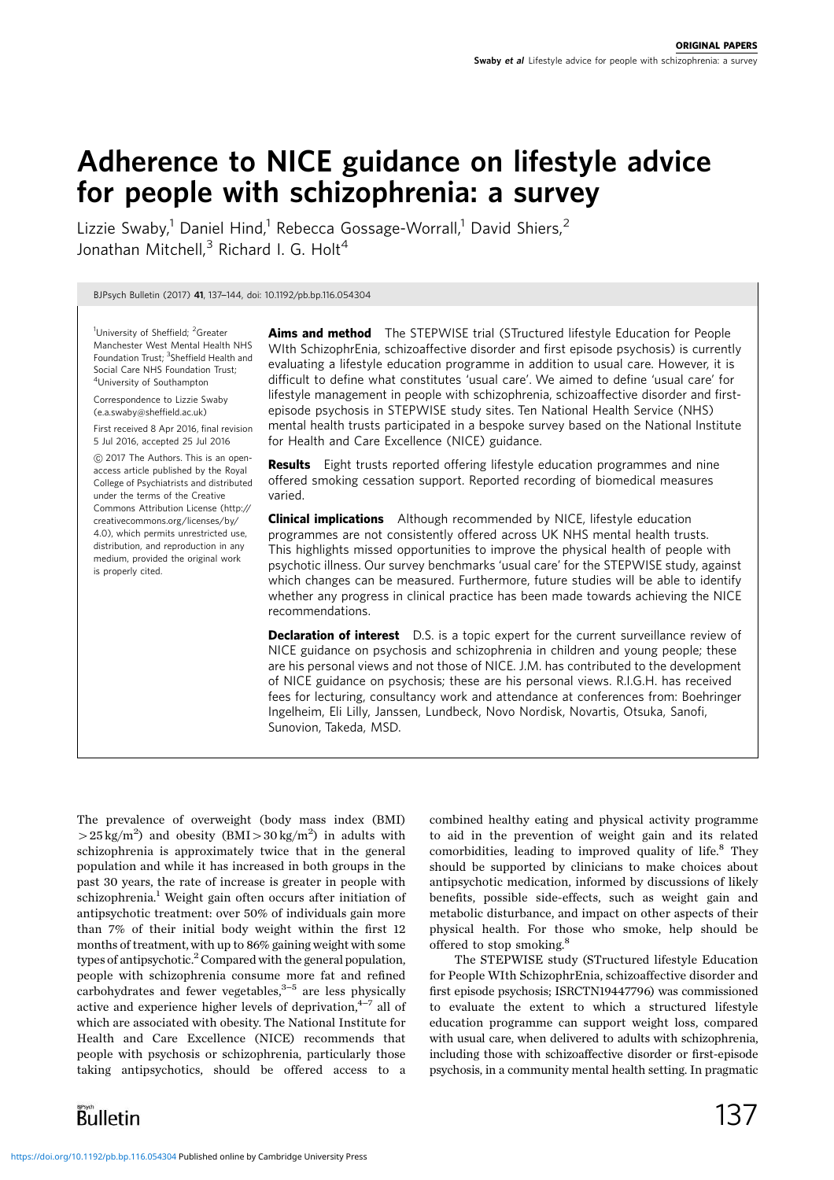# Adherence to NICE guidance on lifestyle advice for people with schizophrenia: a survey

Lizzie Swaby,<sup>1</sup> Daniel Hind,<sup>1</sup> Rebecca Gossage-Worrall,<sup>1</sup> David Shiers,<sup>2</sup> Jonathan Mitchell, $<sup>3</sup>$  Richard I. G. Holt<sup>4</sup></sup>

BJPsych Bulletin (2017) <sup>41</sup>, 137-144, doi: 10.1192/pb.bp.116.054304

<sup>1</sup>University of Sheffield; <sup>2</sup>Greater Manchester West Mental Health NHS Foundation Trust; <sup>3</sup>Sheffield Health and Social Care NHS Foundation Trust; 4 University of Southampton

Correspondence to Lizzie Swaby (e.a.swaby@sheffield.ac.uk)

First received 8 Apr 2016, final revision 5 Jul 2016, accepted 25 Jul 2016

*B* 2017 The Authors. This is an openaccess article published by the Royal College of Psychiatrists and distributed under the terms of the Creative Commons Attribution License (http:// creativecommons.org/licenses/by/ 4.0), which permits unrestricted use, distribution, and reproduction in any medium, provided the original work is properly cited.

Aims and method The STEPWISE trial (STructured lifestyle Education for People WIth SchizophrEnia, schizoaffective disorder and first episode psychosis) is currently evaluating a lifestyle education programme in addition to usual care. However, it is difficult to define what constitutes 'usual care'. We aimed to define 'usual care' for lifestyle management in people with schizophrenia, schizoaffective disorder and firstepisode psychosis in STEPWISE study sites. Ten National Health Service (NHS) mental health trusts participated in a bespoke survey based on the National Institute for Health and Care Excellence (NICE) guidance.

**Results** Eight trusts reported offering lifestyle education programmes and nine offered smoking cessation support. Reported recording of biomedical measures varied.

**Clinical implications** Although recommended by NICE, lifestyle education programmes are not consistently offered across UK NHS mental health trusts. This highlights missed opportunities to improve the physical health of people with psychotic illness. Our survey benchmarks 'usual care' for the STEPWISE study, against which changes can be measured. Furthermore, future studies will be able to identify whether any progress in clinical practice has been made towards achieving the NICE recommendations.

**Declaration of interest** D.S. is a topic expert for the current surveillance review of NICE guidance on psychosis and schizophrenia in children and young people; these are his personal views and not those of NICE. J.M. has contributed to the development of NICE guidance on psychosis; these are his personal views. R.I.G.H. has received fees for lecturing, consultancy work and attendance at conferences from: Boehringer Ingelheim, Eli Lilly, Janssen, Lundbeck, Novo Nordisk, Novartis, Otsuka, Sanofi, Sunovion, Takeda, MSD.

The prevalence of overweight (body mass index (BMI)  $>$  25 kg/m<sup>2</sup>) and obesity (BMI $>$ 30 kg/m<sup>2</sup>) in adults with schizophrenia is approximately twice that in the general population and while it has increased in both groups in the past 30 years, the rate of increase is greater in people with schizophrenia.<sup>1</sup> Weight gain often occurs after initiation of antipsychotic treatment: over 50% of individuals gain more than 7% of their initial body weight within the first 12 months of treatment, with up to 86% gaining weight with some types of antipsychotic. $2^2$  Compared with the general population, people with schizophrenia consume more fat and refined carbohydrates and fewer vegetables, $3-5$  are less physically active and experience higher levels of deprivation. $4-7$  all of which are associated with obesity. The National Institute for Health and Care Excellence (NICE) recommends that people with psychosis or schizophrenia, particularly those taking antipsychotics, should be offered access to a

Bulletin

combined healthy eating and physical activity programme to aid in the prevention of weight gain and its related comorbidities, leading to improved quality of life.<sup>8</sup> They should be supported by clinicians to make choices about antipsychotic medication, informed by discussions of likely benefits, possible side-effects, such as weight gain and metabolic disturbance, and impact on other aspects of their physical health. For those who smoke, help should be offered to stop smoking.8

The STEPWISE study (STructured lifestyle Education for People WIth SchizophrEnia, schizoaffective disorder and first episode psychosis; ISRCTN19447796) was commissioned to evaluate the extent to which a structured lifestyle education programme can support weight loss, compared with usual care, when delivered to adults with schizophrenia, including those with schizoaffective disorder or first-episode psychosis, in a community mental health setting. In pragmatic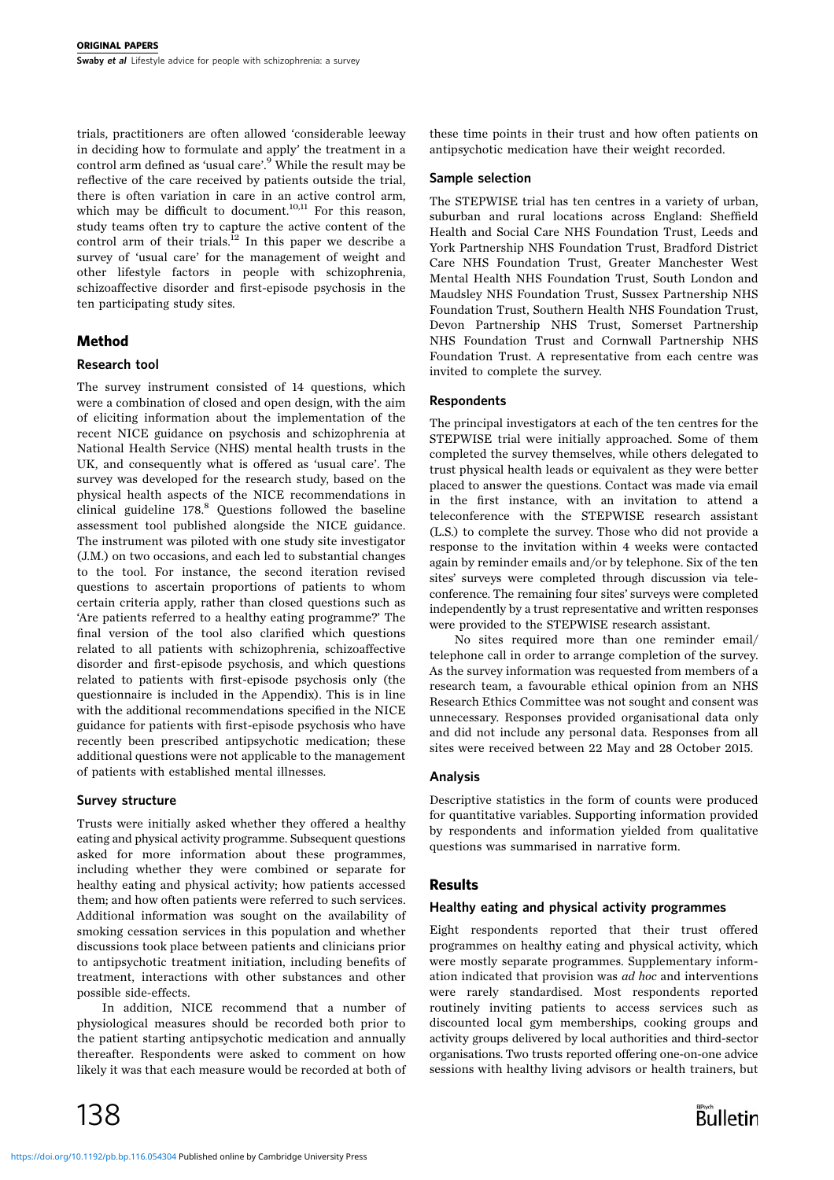trials, practitioners are often allowed 'considerable leeway in deciding how to formulate and apply' the treatment in a control arm defined as 'usual care'.<sup>9</sup> While the result may be reflective of the care received by patients outside the trial, there is often variation in care in an active control arm, which may be difficult to document.<sup>10,11</sup> For this reason, study teams often try to capture the active content of the control arm of their trials. $^{12}$  In this paper we describe a survey of 'usual care' for the management of weight and other lifestyle factors in people with schizophrenia, schizoaffective disorder and first-episode psychosis in the ten participating study sites.

# Method

## Research tool

The survey instrument consisted of 14 questions, which were a combination of closed and open design, with the aim of eliciting information about the implementation of the recent NICE guidance on psychosis and schizophrenia at National Health Service (NHS) mental health trusts in the UK, and consequently what is offered as 'usual care'. The survey was developed for the research study, based on the physical health aspects of the NICE recommendations in clinical guideline 178.<sup>8</sup> Questions followed the baseline assessment tool published alongside the NICE guidance. The instrument was piloted with one study site investigator (J.M.) on two occasions, and each led to substantial changes to the tool. For instance, the second iteration revised questions to ascertain proportions of patients to whom certain criteria apply, rather than closed questions such as 'Are patients referred to a healthy eating programme?' The final version of the tool also clarified which questions related to all patients with schizophrenia, schizoaffective disorder and first-episode psychosis, and which questions related to patients with first-episode psychosis only (the questionnaire is included in the Appendix). This is in line with the additional recommendations specified in the NICE guidance for patients with first-episode psychosis who have recently been prescribed antipsychotic medication; these additional questions were not applicable to the management of patients with established mental illnesses.

# Survey structure

Trusts were initially asked whether they offered a healthy eating and physical activity programme. Subsequent questions asked for more information about these programmes, including whether they were combined or separate for healthy eating and physical activity; how patients accessed them; and how often patients were referred to such services. Additional information was sought on the availability of smoking cessation services in this population and whether discussions took place between patients and clinicians prior to antipsychotic treatment initiation, including benefits of treatment, interactions with other substances and other possible side-effects.

In addition, NICE recommend that a number of physiological measures should be recorded both prior to the patient starting antipsychotic medication and annually thereafter. Respondents were asked to comment on how likely it was that each measure would be recorded at both of these time points in their trust and how often patients on antipsychotic medication have their weight recorded.

#### Sample selection

The STEPWISE trial has ten centres in a variety of urban, suburban and rural locations across England: Sheffield Health and Social Care NHS Foundation Trust, Leeds and York Partnership NHS Foundation Trust, Bradford District Care NHS Foundation Trust, Greater Manchester West Mental Health NHS Foundation Trust, South London and Maudsley NHS Foundation Trust, Sussex Partnership NHS Foundation Trust, Southern Health NHS Foundation Trust, Devon Partnership NHS Trust, Somerset Partnership NHS Foundation Trust and Cornwall Partnership NHS Foundation Trust. A representative from each centre was invited to complete the survey.

#### Respondents

The principal investigators at each of the ten centres for the STEPWISE trial were initially approached. Some of them completed the survey themselves, while others delegated to trust physical health leads or equivalent as they were better placed to answer the questions. Contact was made via email in the first instance, with an invitation to attend a teleconference with the STEPWISE research assistant (L.S.) to complete the survey. Those who did not provide a response to the invitation within 4 weeks were contacted again by reminder emails and/or by telephone. Six of the ten sites' surveys were completed through discussion via teleconference. The remaining four sites' surveys were completed independently by a trust representative and written responses were provided to the STEPWISE research assistant.

No sites required more than one reminder email/ telephone call in order to arrange completion of the survey. As the survey information was requested from members of a research team, a favourable ethical opinion from an NHS Research Ethics Committee was not sought and consent was unnecessary. Responses provided organisational data only and did not include any personal data. Responses from all sites were received between 22 May and 28 October 2015.

# Analysis

Descriptive statistics in the form of counts were produced for quantitative variables. Supporting information provided by respondents and information yielded from qualitative questions was summarised in narrative form.

# Results

#### Healthy eating and physical activity programmes

Eight respondents reported that their trust offered programmes on healthy eating and physical activity, which were mostly separate programmes. Supplementary information indicated that provision was ad hoc and interventions were rarely standardised. Most respondents reported routinely inviting patients to access services such as discounted local gym memberships, cooking groups and activity groups delivered by local authorities and third-sector organisations. Two trusts reported offering one-on-one advice sessions with healthy living advisors or health trainers, but

**Bulletin**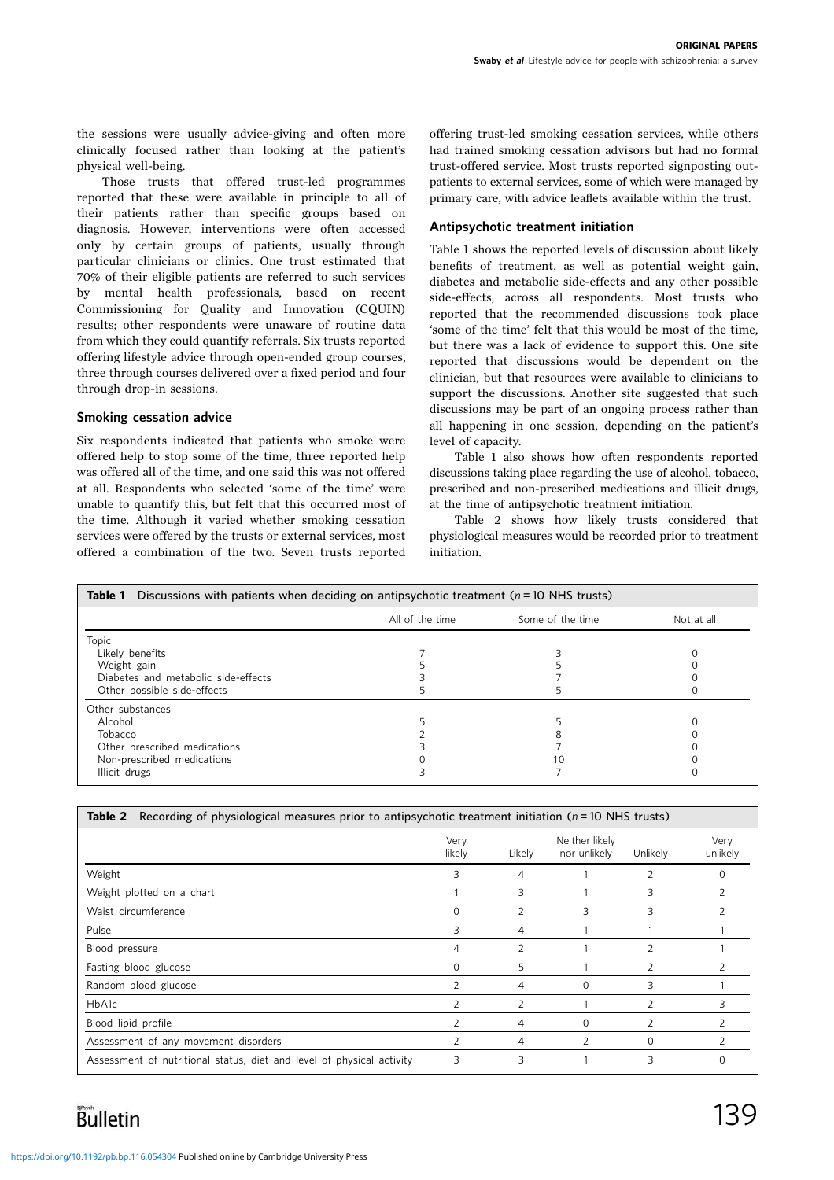the sessions were usually advice-giving and often more clinically focused rather than looking at the patient's physical well-being.

Those trusts that offered trust-led programmes reported that these were available in principle to all of their patients rather than specific groups based on diagnosis. However, interventions were often accessed only by certain groups of patients, usually through particular clinicians or clinics. One trust estimated that 70% of their eligible patients are referred to such services by mental health professionals, based on recent Commissioning for Quality and Innovation (CQUIN) results; other respondents were unaware of routine data from which they could quantify referrals. Six trusts reported offering lifestyle advice through open-ended group courses, three through courses delivered over a fixed period and four through drop-in sessions.

#### Smoking cessation advice

Six respondents indicated that patients who smoke were offered help to stop some of the time, three reported help was offered all of the time, and one said this was not offered at all. Respondents who selected 'some of the time' were unable to quantify this, but felt that this occurred most of the time. Although it varied whether smoking cessation services were offered by the trusts or external services, most offered a combination of the two. Seven trusts reported

offering trust-led smoking cessation services, while others had trained smoking cessation advisors but had no formal trust-offered service. Most trusts reported signposting outpatients to external services, some of which were managed by primary care, with advice leaflets available within the trust.

#### Antipsychotic treatment initiation

Table 1 shows the reported levels of discussion about likely benefits of treatment, as well as potential weight gain, diabetes and metabolic side-effects and any other possible side-effects, across all respondents. Most trusts who reported that the recommended discussions took place 'some of the time' felt that this would be most of the time, but there was a lack of evidence to support this. One site reported that discussions would be dependent on the clinician, but that resources were available to clinicians to support the discussions. Another site suggested that such discussions may be part of an ongoing process rather than all happening in one session, depending on the patient's level of capacity.

Table 1 also shows how often respondents reported discussions taking place regarding the use of alcohol, tobacco, prescribed and non-prescribed medications and illicit drugs, at the time of antipsychotic treatment initiation.

Table 2 shows how likely trusts considered that physiological measures would be recorded prior to treatment initiation.

| Discussions with patients when deciding on antipsychotic treatment ( $n = 10$ NHS trusts)<br>Table 1 |                 |                  |            |
|------------------------------------------------------------------------------------------------------|-----------------|------------------|------------|
|                                                                                                      | All of the time | Some of the time | Not at all |
| <b>Topic</b>                                                                                         |                 |                  |            |
| Likely benefits                                                                                      |                 |                  |            |
| Weight gain                                                                                          |                 |                  |            |
| Diabetes and metabolic side-effects                                                                  |                 |                  |            |
| Other possible side-effects                                                                          |                 |                  |            |
| Other substances                                                                                     |                 |                  |            |
| Alcohol                                                                                              |                 |                  |            |
| Tobacco                                                                                              |                 |                  |            |
| Other prescribed medications                                                                         |                 |                  |            |
| Non-prescribed medications                                                                           |                 | 10               |            |
| Illicit drugs                                                                                        |                 |                  |            |

| Recording of physiological measures prior to antipsychotic treatment initiation ( $n = 10$ NHS trusts)<br>Table 2 |                |        |                                |                |                  |
|-------------------------------------------------------------------------------------------------------------------|----------------|--------|--------------------------------|----------------|------------------|
|                                                                                                                   | Very<br>likely | Likely | Neither likely<br>nor unlikely | Unlikely       | Very<br>unlikely |
| Weight                                                                                                            | 3              | 4      |                                |                |                  |
| Weight plotted on a chart                                                                                         |                | 3      |                                | 3              |                  |
| Waist circumference                                                                                               | 0              | 2      | 3                              | 3              |                  |
| Pulse                                                                                                             | 3              | 4      |                                |                |                  |
| Blood pressure                                                                                                    | 4              | 2      |                                | $\overline{2}$ |                  |
| Fasting blood glucose                                                                                             | 0              | 5      |                                |                |                  |
| Random blood glucose                                                                                              |                | 4      | $\Omega$                       | 3              |                  |
| HbA1c                                                                                                             | 2              | 2      |                                | 2              |                  |
| Blood lipid profile                                                                                               |                | 4      | $\Omega$                       |                |                  |
| Assessment of any movement disorders                                                                              | 2              | 4      | 2                              | $\mathbf 0$    |                  |
| Assessment of nutritional status, diet and level of physical activity                                             | 3              | 3      |                                | 3              |                  |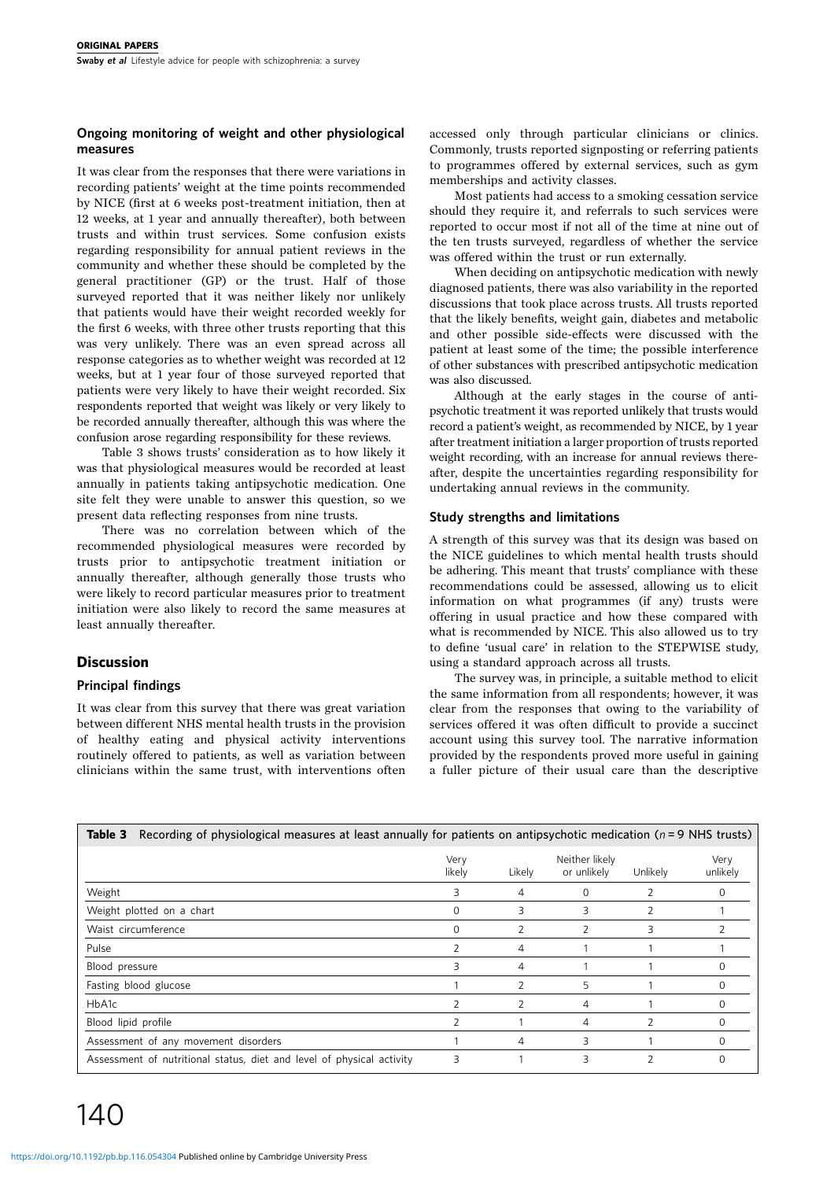## Ongoing monitoring of weight and other physiological measures

It was clear from the responses that there were variations in recording patients' weight at the time points recommended by NICE (first at 6 weeks post-treatment initiation, then at 12 weeks, at 1 year and annually thereafter), both between trusts and within trust services. Some confusion exists regarding responsibility for annual patient reviews in the community and whether these should be completed by the general practitioner (GP) or the trust. Half of those surveyed reported that it was neither likely nor unlikely that patients would have their weight recorded weekly for the first 6 weeks, with three other trusts reporting that this was very unlikely. There was an even spread across all response categories as to whether weight was recorded at 12 weeks, but at 1 year four of those surveyed reported that patients were very likely to have their weight recorded. Six respondents reported that weight was likely or very likely to be recorded annually thereafter, although this was where the confusion arose regarding responsibility for these reviews.

Table 3 shows trusts' consideration as to how likely it was that physiological measures would be recorded at least annually in patients taking antipsychotic medication. One site felt they were unable to answer this question, so we present data reflecting responses from nine trusts.

There was no correlation between which of the recommended physiological measures were recorded by trusts prior to antipsychotic treatment initiation or annually thereafter, although generally those trusts who were likely to record particular measures prior to treatment initiation were also likely to record the same measures at least annually thereafter.

# Discussion

# Principal findings

It was clear from this survey that there was great variation between different NHS mental health trusts in the provision of healthy eating and physical activity interventions routinely offered to patients, as well as variation between clinicians within the same trust, with interventions often accessed only through particular clinicians or clinics. Commonly, trusts reported signposting or referring patients to programmes offered by external services, such as gym memberships and activity classes.

Most patients had access to a smoking cessation service should they require it, and referrals to such services were reported to occur most if not all of the time at nine out of the ten trusts surveyed, regardless of whether the service was offered within the trust or run externally.

When deciding on antipsychotic medication with newly diagnosed patients, there was also variability in the reported discussions that took place across trusts. All trusts reported that the likely benefits, weight gain, diabetes and metabolic and other possible side-effects were discussed with the patient at least some of the time; the possible interference of other substances with prescribed antipsychotic medication was also discussed.

Although at the early stages in the course of antipsychotic treatment it was reported unlikely that trusts would record a patient's weight, as recommended by NICE, by 1 year after treatment initiation a larger proportion of trusts reported weight recording, with an increase for annual reviews thereafter, despite the uncertainties regarding responsibility for undertaking annual reviews in the community.

## Study strengths and limitations

A strength of this survey was that its design was based on the NICE guidelines to which mental health trusts should be adhering. This meant that trusts' compliance with these recommendations could be assessed, allowing us to elicit information on what programmes (if any) trusts were offering in usual practice and how these compared with what is recommended by NICE. This also allowed us to try to define 'usual care' in relation to the STEPWISE study, using a standard approach across all trusts.

The survey was, in principle, a suitable method to elicit the same information from all respondents; however, it was clear from the responses that owing to the variability of services offered it was often difficult to provide a succinct account using this survey tool. The narrative information provided by the respondents proved more useful in gaining a fuller picture of their usual care than the descriptive

| Recording of physiological measures at least annually for patients on antipsychotic medication ( $n = 9$ NHS trusts)<br>Table 3 |                |        |                               |          |                  |
|---------------------------------------------------------------------------------------------------------------------------------|----------------|--------|-------------------------------|----------|------------------|
|                                                                                                                                 | Very<br>likely | Likely | Neither likely<br>or unlikely | Unlikely | Very<br>unlikely |
| Weight                                                                                                                          | 3              | 4      | 0                             |          |                  |
| Weight plotted on a chart                                                                                                       | $\Omega$       | 3      | 3                             |          |                  |
| Waist circumference                                                                                                             | 0              |        |                               | 3        |                  |
| Pulse                                                                                                                           |                | 4      |                               |          |                  |
| Blood pressure                                                                                                                  | 3              | 4      |                               |          |                  |
| Fasting blood glucose                                                                                                           |                |        | 5                             |          |                  |
| HbA1c                                                                                                                           |                |        | 4                             |          |                  |
| Blood lipid profile                                                                                                             |                |        | 4                             |          |                  |
| Assessment of any movement disorders                                                                                            |                | 4      | 3                             |          |                  |
| Assessment of nutritional status, diet and level of physical activity                                                           | 3              |        | 3                             | っ        |                  |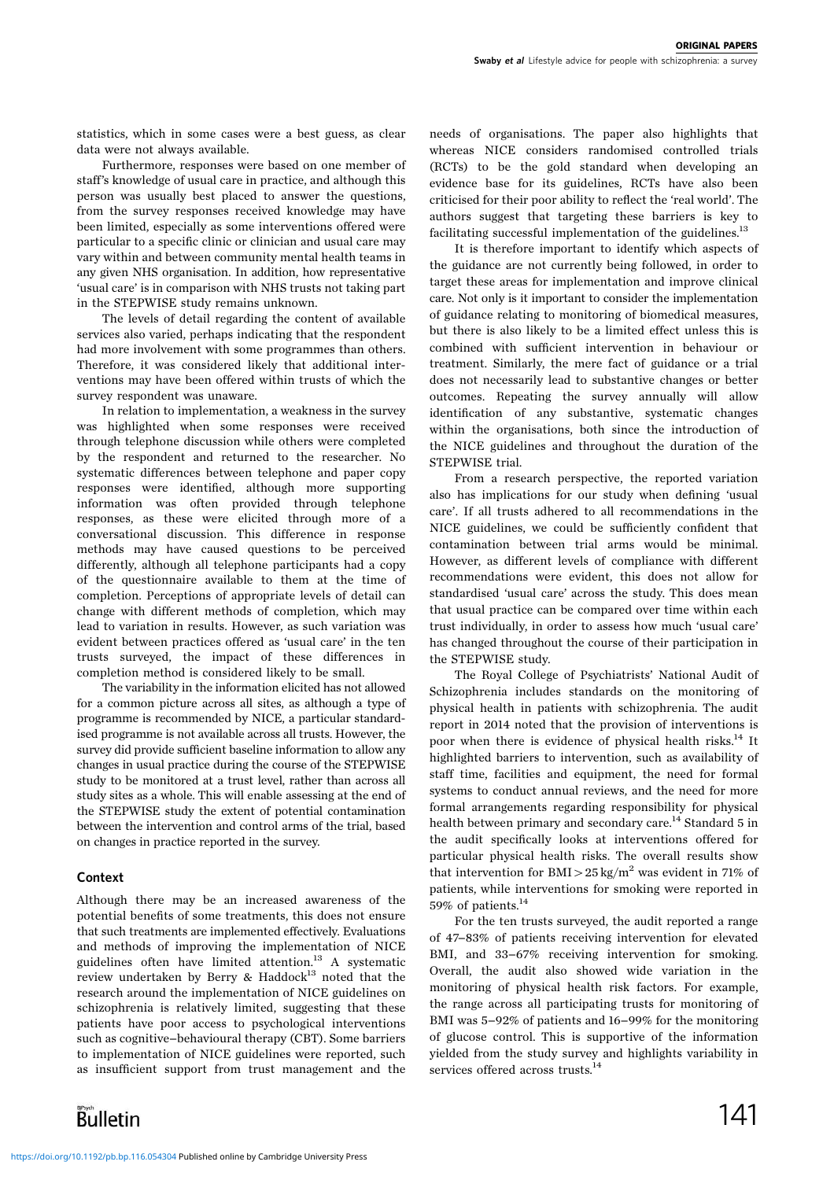statistics, which in some cases were a best guess, as clear data were not always available.

Furthermore, responses were based on one member of staff's knowledge of usual care in practice, and although this person was usually best placed to answer the questions, from the survey responses received knowledge may have been limited, especially as some interventions offered were particular to a specific clinic or clinician and usual care may vary within and between community mental health teams in any given NHS organisation. In addition, how representative 'usual care' is in comparison with NHS trusts not taking part in the STEPWISE study remains unknown.

The levels of detail regarding the content of available services also varied, perhaps indicating that the respondent had more involvement with some programmes than others. Therefore, it was considered likely that additional interventions may have been offered within trusts of which the survey respondent was unaware.

In relation to implementation, a weakness in the survey was highlighted when some responses were received through telephone discussion while others were completed by the respondent and returned to the researcher. No systematic differences between telephone and paper copy responses were identified, although more supporting information was often provided through telephone responses, as these were elicited through more of a conversational discussion. This difference in response methods may have caused questions to be perceived differently, although all telephone participants had a copy of the questionnaire available to them at the time of completion. Perceptions of appropriate levels of detail can change with different methods of completion, which may lead to variation in results. However, as such variation was evident between practices offered as 'usual care' in the ten trusts surveyed, the impact of these differences in completion method is considered likely to be small.

The variability in the information elicited has not allowed for a common picture across all sites, as although a type of programme is recommended by NICE, a particular standardised programme is not available across all trusts. However, the survey did provide sufficient baseline information to allow any changes in usual practice during the course of the STEPWISE study to be monitored at a trust level, rather than across all study sites as a whole. This will enable assessing at the end of the STEPWISE study the extent of potential contamination between the intervention and control arms of the trial, based on changes in practice reported in the survey.

#### Context

Although there may be an increased awareness of the potential benefits of some treatments, this does not ensure that such treatments are implemented effectively. Evaluations and methods of improving the implementation of NICE guidelines often have limited attention.<sup>13</sup> A systematic review undertaken by Berry & Haddock $13$  noted that the research around the implementation of NICE guidelines on schizophrenia is relatively limited, suggesting that these patients have poor access to psychological interventions such as cognitive-behavioural therapy (CBT). Some barriers to implementation of NICE guidelines were reported, such as insufficient support from trust management and the

Bulletin

needs of organisations. The paper also highlights that whereas NICE considers randomised controlled trials (RCTs) to be the gold standard when developing an evidence base for its guidelines, RCTs have also been criticised for their poor ability to reflect the 'real world'. The authors suggest that targeting these barriers is key to facilitating successful implementation of the guidelines. $^{13}$ 

It is therefore important to identify which aspects of the guidance are not currently being followed, in order to target these areas for implementation and improve clinical care. Not only is it important to consider the implementation of guidance relating to monitoring of biomedical measures, but there is also likely to be a limited effect unless this is combined with sufficient intervention in behaviour or treatment. Similarly, the mere fact of guidance or a trial does not necessarily lead to substantive changes or better outcomes. Repeating the survey annually will allow identification of any substantive, systematic changes within the organisations, both since the introduction of the NICE guidelines and throughout the duration of the STEPWISE trial.

From a research perspective, the reported variation also has implications for our study when defining 'usual care'. If all trusts adhered to all recommendations in the NICE guidelines, we could be sufficiently confident that contamination between trial arms would be minimal. However, as different levels of compliance with different recommendations were evident, this does not allow for standardised 'usual care' across the study. This does mean that usual practice can be compared over time within each trust individually, in order to assess how much 'usual care' has changed throughout the course of their participation in the STEPWISE study.

The Royal College of Psychiatrists' National Audit of Schizophrenia includes standards on the monitoring of physical health in patients with schizophrenia. The audit report in 2014 noted that the provision of interventions is poor when there is evidence of physical health risks.<sup>14</sup> It highlighted barriers to intervention, such as availability of staff time, facilities and equipment, the need for formal systems to conduct annual reviews, and the need for more formal arrangements regarding responsibility for physical health between primary and secondary care.<sup>14</sup> Standard 5 in the audit specifically looks at interventions offered for particular physical health risks. The overall results show that intervention for  $BMI > 25 \text{ kg/m}^2$  was evident in 71% of patients, while interventions for smoking were reported in 59% of patients. $14$ 

For the ten trusts surveyed, the audit reported a range of 47-83% of patients receiving intervention for elevated BMI, and 33-67% receiving intervention for smoking. Overall, the audit also showed wide variation in the monitoring of physical health risk factors. For example, the range across all participating trusts for monitoring of BMI was 5-92% of patients and 16-99% for the monitoring of glucose control. This is supportive of the information yielded from the study survey and highlights variability in services offered across trusts.<sup>14</sup>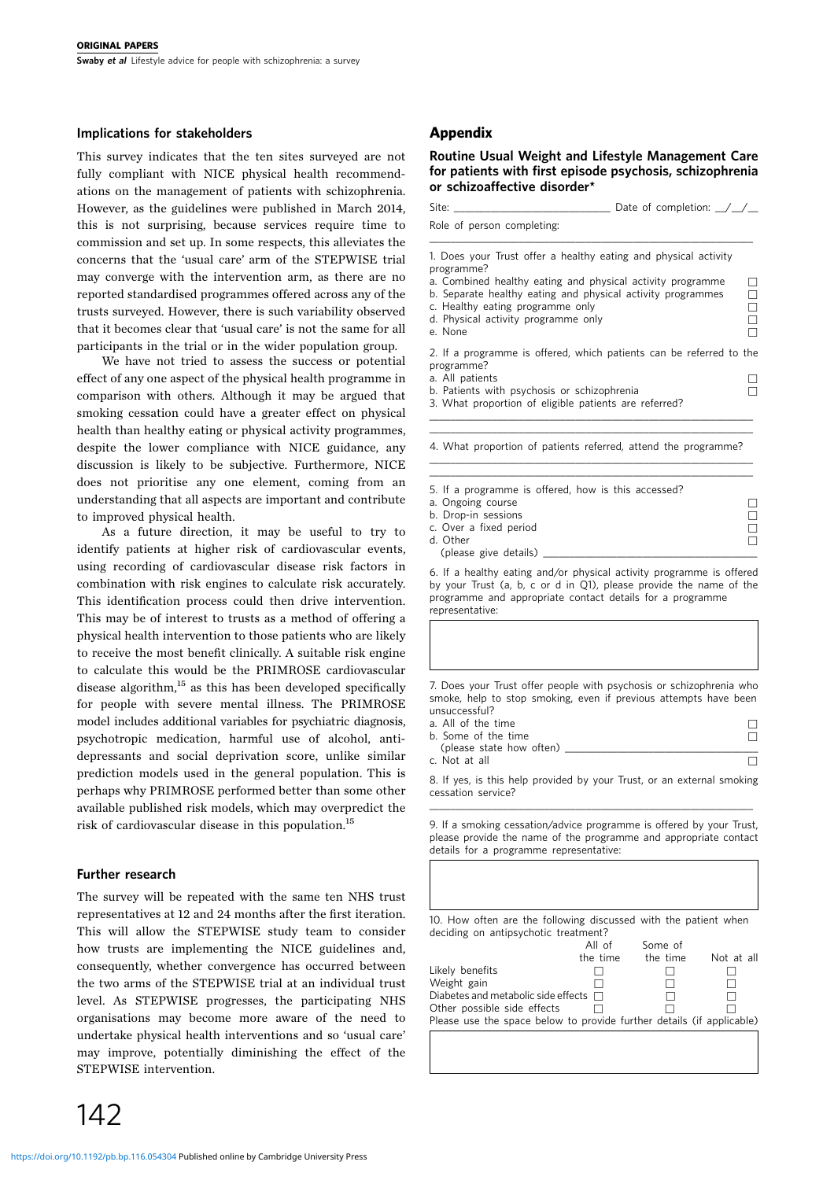#### Implications for stakeholders

This survey indicates that the ten sites surveyed are not fully compliant with NICE physical health recommendations on the management of patients with schizophrenia. However, as the guidelines were published in March 2014, this is not surprising, because services require time to commission and set up. In some respects, this alleviates the concerns that the 'usual care' arm of the STEPWISE trial may converge with the intervention arm, as there are no reported standardised programmes offered across any of the trusts surveyed. However, there is such variability observed that it becomes clear that 'usual care' is not the same for all participants in the trial or in the wider population group.

We have not tried to assess the success or potential effect of any one aspect of the physical health programme in comparison with others. Although it may be argued that smoking cessation could have a greater effect on physical health than healthy eating or physical activity programmes, despite the lower compliance with NICE guidance, any discussion is likely to be subjective. Furthermore, NICE does not prioritise any one element, coming from an understanding that all aspects are important and contribute to improved physical health.

As a future direction, it may be useful to try to identify patients at higher risk of cardiovascular events, using recording of cardiovascular disease risk factors in combination with risk engines to calculate risk accurately. This identification process could then drive intervention. This may be of interest to trusts as a method of offering a physical health intervention to those patients who are likely to receive the most benefit clinically. A suitable risk engine to calculate this would be the PRIMROSE cardiovascular disease algorithm,<sup>15</sup> as this has been developed specifically for people with severe mental illness. The PRIMROSE model includes additional variables for psychiatric diagnosis, psychotropic medication, harmful use of alcohol, antidepressants and social deprivation score, unlike similar prediction models used in the general population. This is perhaps why PRIMROSE performed better than some other available published risk models, which may overpredict the risk of cardiovascular disease in this population.<sup>15</sup>

# Further research

The survey will be repeated with the same ten NHS trust representatives at 12 and 24 months after the first iteration. This will allow the STEPWISE study team to consider how trusts are implementing the NICE guidelines and, consequently, whether convergence has occurred between the two arms of the STEPWISE trial at an individual trust level. As STEPWISE progresses, the participating NHS organisations may become more aware of the need to undertake physical health interventions and so 'usual care' may improve, potentially diminishing the effect of the STEPWISE intervention.

#### Appendix

#### Routine Usual Weight and Lifestyle Management Care for patients with first episode psychosis, schizophrenia or schizoaffective disorder\*

| Site:                                                                                                | Date of completion: ///                                                                                                   |
|------------------------------------------------------------------------------------------------------|---------------------------------------------------------------------------------------------------------------------------|
| Role of person completing:                                                                           |                                                                                                                           |
| programme?                                                                                           | 1. Does your Trust offer a healthy eating and physical activity                                                           |
| c. Healthy eating programme only<br>d. Physical activity programme only<br>e. None                   | a. Combined healthy eating and physical activity programme<br>b. Separate healthy eating and physical activity programmes |
|                                                                                                      | 2. If a programme is offered, which patients can be referred to the                                                       |
| programme?<br>a. All patients                                                                        |                                                                                                                           |
| b. Patients with psychosis or schizophrenia<br>3. What proportion of eligible patients are referred? |                                                                                                                           |
|                                                                                                      | 4. What proportion of patients referred, attend the programme?                                                            |
| 5. If a programme is offered, how is this accessed?<br>a. Ongoing course                             |                                                                                                                           |
| b. Drop-in sessions                                                                                  |                                                                                                                           |
| c. Over a fixed period                                                                               |                                                                                                                           |
| d. Other                                                                                             |                                                                                                                           |

6. If a healthy eating and/or physical activity programme is offered by your Trust (a, b, c or d in Q1), please provide the name of the programme and appropriate contact details for a programme representative:

7. Does your Trust offer people with psychosis or schizophrenia who smoke, help to stop smoking, even if previous attempts have been unsuccessful?

| a. All of the time       |  |
|--------------------------|--|
| b. Some of the time      |  |
| (please state how often) |  |
| c. Not at all            |  |

8. If yes, is this help provided by your Trust, or an external smoking cessation service? \_\_\_\_\_\_\_\_\_\_\_\_\_\_\_\_\_\_\_\_\_\_\_\_\_\_\_\_\_\_\_\_\_\_\_\_\_\_\_\_\_\_\_\_\_\_\_\_\_\_\_\_\_\_\_\_\_\_\_\_\_\_

9. If a smoking cessation/advice programme is offered by your Trust, please provide the name of the programme and appropriate contact details for a programme representative:

10. How often are the following discussed with the patient when deciding on antipsychotic treatment?<br>All of Some of

|                                                                       | the time | the time | Not at all |
|-----------------------------------------------------------------------|----------|----------|------------|
| Likely benefits                                                       |          |          |            |
| Weight gain                                                           |          |          |            |
| Diabetes and metabolic side effects $\Box$                            |          |          |            |
| Other possible side effects                                           |          |          |            |
| Please use the space below to provide further details (if applicable) |          |          |            |
|                                                                       |          |          |            |
|                                                                       |          |          |            |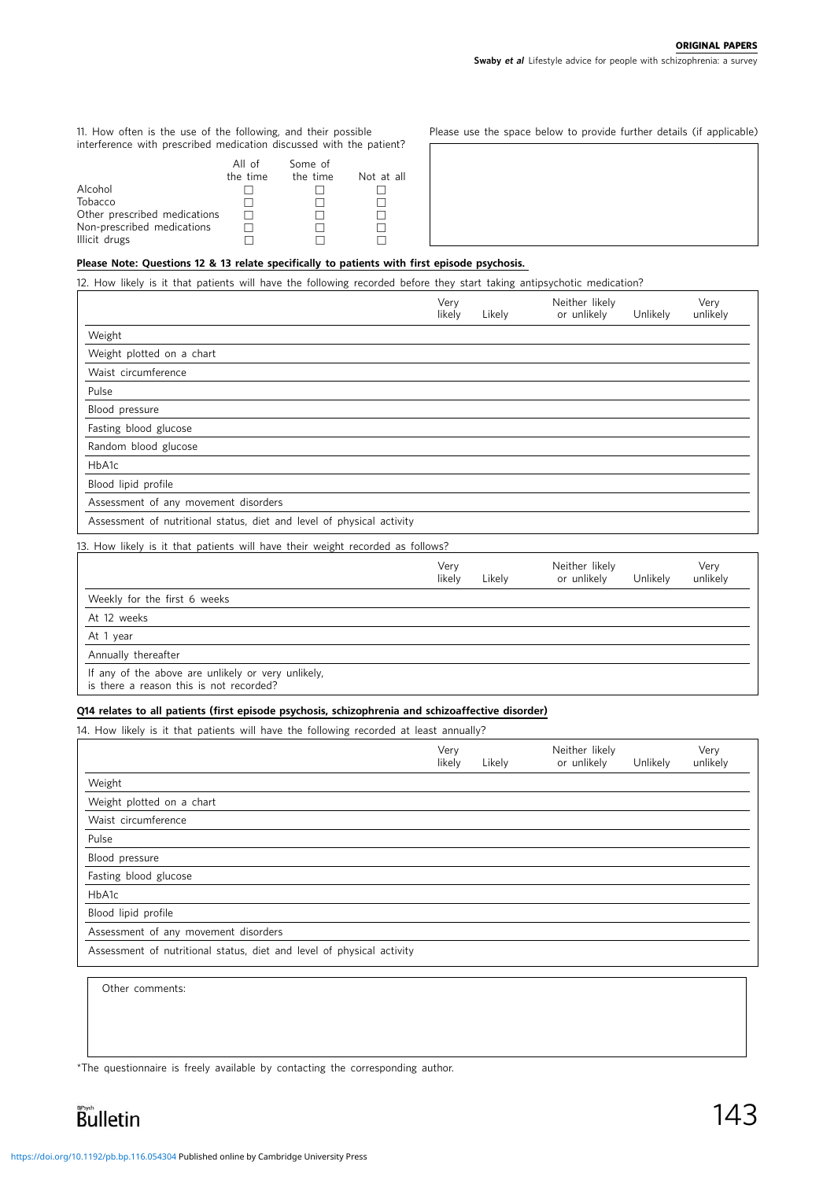11. How often is the use of the following, and their possible interference with prescribed medication discussed with the patient?

|                              | All of<br>the time | Some of<br>the time | Not at all |
|------------------------------|--------------------|---------------------|------------|
| Alcohol                      |                    |                     |            |
| Tobacco                      |                    |                     |            |
| Other prescribed medications |                    |                     |            |
| Non-prescribed medications   |                    |                     |            |
| Illicit drugs                |                    |                     |            |

Please use the space below to provide further details (if applicable)

# Please Note: Questions 12 & 13 relate specifically to patients with first episode psychosis.

12. How likely is it that patients will have the following recorded before they start taking antipsychotic medication?

|                                                                       | Very<br>likely | Likely | Neither likely<br>or unlikely | Unlikely | Very<br>unlikely |
|-----------------------------------------------------------------------|----------------|--------|-------------------------------|----------|------------------|
| Weight                                                                |                |        |                               |          |                  |
| Weight plotted on a chart                                             |                |        |                               |          |                  |
| Waist circumference                                                   |                |        |                               |          |                  |
| Pulse                                                                 |                |        |                               |          |                  |
| Blood pressure                                                        |                |        |                               |          |                  |
| Fasting blood glucose                                                 |                |        |                               |          |                  |
| Random blood glucose                                                  |                |        |                               |          |                  |
| HbA1c                                                                 |                |        |                               |          |                  |
| Blood lipid profile                                                   |                |        |                               |          |                  |
| Assessment of any movement disorders                                  |                |        |                               |          |                  |
| Assessment of nutritional status, diet and level of physical activity |                |        |                               |          |                  |

13. How likely is it that patients will have their weight recorded as follows?

|                                                                                               | Verv<br>likely | Likelv | Neither likely<br>or unlikely | Unlikelv | Verv<br>unlikely |
|-----------------------------------------------------------------------------------------------|----------------|--------|-------------------------------|----------|------------------|
| Weekly for the first 6 weeks                                                                  |                |        |                               |          |                  |
| At 12 weeks                                                                                   |                |        |                               |          |                  |
| At 1 year                                                                                     |                |        |                               |          |                  |
| Annually thereafter                                                                           |                |        |                               |          |                  |
| If any of the above are unlikely or very unlikely,<br>is there a reason this is not recorded? |                |        |                               |          |                  |

## Q14 relates to all patients (first episode psychosis, schizophrenia and schizoaffective disorder)

|                                                                       | Very<br>likely | Likely | Neither likely<br>or unlikely | Unlikely | Verv<br>unlikely |
|-----------------------------------------------------------------------|----------------|--------|-------------------------------|----------|------------------|
| Weight                                                                |                |        |                               |          |                  |
| Weight plotted on a chart                                             |                |        |                               |          |                  |
| Waist circumference                                                   |                |        |                               |          |                  |
| Pulse                                                                 |                |        |                               |          |                  |
| Blood pressure                                                        |                |        |                               |          |                  |
| Fasting blood glucose                                                 |                |        |                               |          |                  |
| HbA1c                                                                 |                |        |                               |          |                  |
| Blood lipid profile                                                   |                |        |                               |          |                  |
| Assessment of any movement disorders                                  |                |        |                               |          |                  |
| Assessment of nutritional status, diet and level of physical activity |                |        |                               |          |                  |

Other comments:

\*The questionnaire is freely available by contacting the corresponding author.